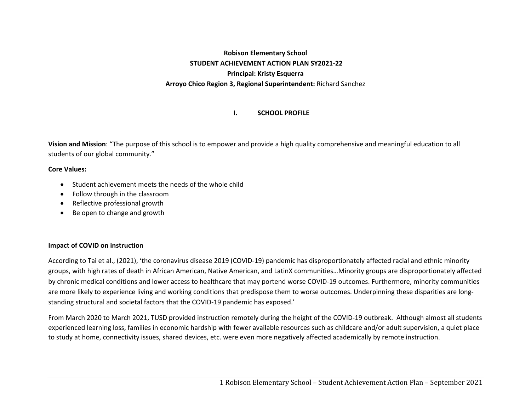# **Robison Elementary School STUDENT ACHIEVEMENT ACTION PLAN SY2021‐22 Principal: Kristy Esquerra Arroyo Chico Region 3, Regional Superintendent:** Richard Sanchez

#### **I.SCHOOL PROFILE**

**Vision and Mission**: "The purpose of this school is to empower and provide a high quality comprehensive and meaningful education to all students of our global community."

## **Core Values:**

- $\bullet$ Student achievement meets the needs of the whole child
- $\bullet$ Follow through in the classroom
- $\bullet$ Reflective professional growth
- $\bullet$ Be open to change and growth

## **Impact of COVID on instruction**

According to Tai et al., (2021), 'the coronavirus disease 2019 (COVID‐19) pandemic has disproportionately affected racial and ethnic minority groups, with high rates of death in African American, Native American, and LatinX communities…Minority groups are disproportionately affected by chronic medical conditions and lower access to healthcare that may portend worse COVID‐19 outcomes. Furthermore, minority communities are more likely to experience living and working conditions that predispose them to worse outcomes. Underpinning these disparities are longstanding structural and societal factors that the COVID‐19 pandemic has exposed.'

From March 2020 to March 2021, TUSD provided instruction remotely during the height of the COVID‐19 outbreak. Although almost all students experienced learning loss, families in economic hardship with fewer available resources such as childcare and/or adult supervision, a quiet place to study at home, connectivity issues, shared devices, etc. were even more negatively affected academically by remote instruction.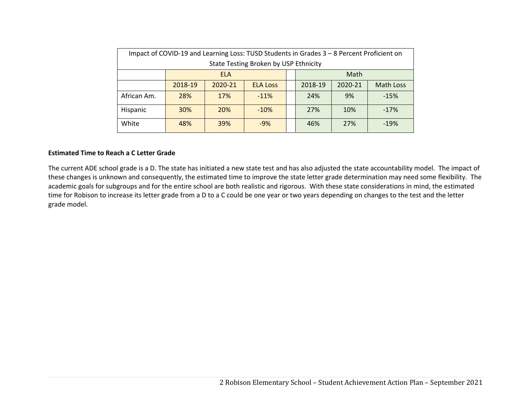| Impact of COVID-19 and Learning Loss: TUSD Students in Grades 3 - 8 Percent Proficient on |                    |            |                 |  |         |         |                  |  |
|-------------------------------------------------------------------------------------------|--------------------|------------|-----------------|--|---------|---------|------------------|--|
| State Testing Broken by USP Ethnicity                                                     |                    |            |                 |  |         |         |                  |  |
|                                                                                           | Math<br><b>ELA</b> |            |                 |  |         |         |                  |  |
|                                                                                           | 2018-19            | 2020-21    | <b>ELA Loss</b> |  | 2018-19 | 2020-21 | <b>Math Loss</b> |  |
| African Am.                                                                               | 28%                | 17%        | $-11%$          |  | 24%     | 9%      | $-15%$           |  |
| Hispanic                                                                                  | 30%                | <b>20%</b> | $-10%$          |  | 27%     | 10%     | $-17%$           |  |
| White                                                                                     | 48%                | 39%        | $-9%$           |  | 46%     | 27%     | $-19%$           |  |

## **Estimated Time to Reach a C Letter Grade**

The current ADE school grade is a D. The state has initiated a new state test and has also adjusted the state accountability model. The impact of these changes is unknown and consequently, the estimated time to improve the state letter grade determination may need some flexibility. The academic goals for subgroups and for the entire school are both realistic and rigorous. With these state considerations in mind, the estimated time for Robison to increase its letter grade from a D to a C could be one year or two years depending on changes to the test and the letter grade model.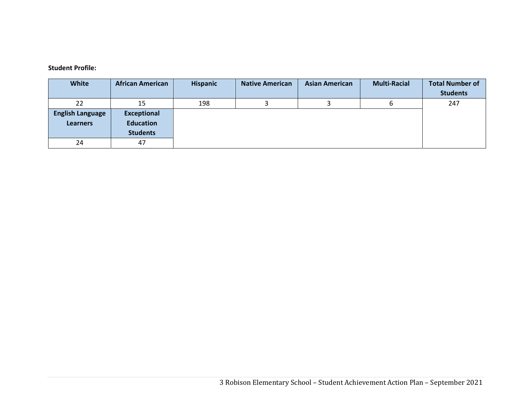#### **Student Profile:**

| White                   | <b>African American</b> | <b>Hispanic</b> | <b>Native American</b> | <b>Asian American</b> | <b>Multi-Racial</b> | <b>Total Number of</b> |
|-------------------------|-------------------------|-----------------|------------------------|-----------------------|---------------------|------------------------|
|                         |                         |                 |                        |                       |                     | <b>Students</b>        |
| 22                      | 15                      | 198             |                        |                       |                     | 247                    |
| <b>English Language</b> | <b>Exceptional</b>      |                 |                        |                       |                     |                        |
| <b>Learners</b>         | <b>Education</b>        |                 |                        |                       |                     |                        |
|                         | <b>Students</b>         |                 |                        |                       |                     |                        |
| 24                      | 47                      |                 |                        |                       |                     |                        |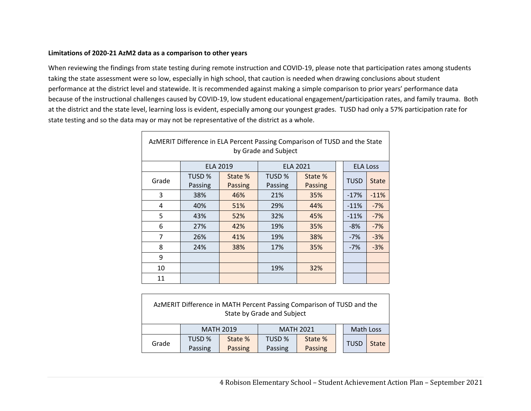## **Limitations of 2020‐21 AzM2 data as a comparison to other years**

 $\Gamma$ 

When reviewing the findings from state testing during remote instruction and COVID‐19, please note that participation rates among students taking the state assessment were so low, especially in high school, that caution is needed when drawing conclusions about student performance at the district level and statewide. It is recommended against making a simple comparison to prior years' performance data because of the instructional challenges caused by COVID‐19, low student educational engagement/participation rates, and family trauma. Both at the district and the state level, learning loss is evident, especially among our youngest grades. TUSD had only a 57% participation rate for state testing and so the data may or may not be representative of the district as a whole.

| AzMERIT Difference in ELA Percent Passing Comparison of TUSD and the State<br>by Grade and Subject |         |                 |         |                 |  |                 |              |  |  |
|----------------------------------------------------------------------------------------------------|---------|-----------------|---------|-----------------|--|-----------------|--------------|--|--|
|                                                                                                    |         | <b>ELA 2019</b> |         | <b>ELA 2021</b> |  | <b>ELA Loss</b> |              |  |  |
| Grade                                                                                              | TUSD %  | State %         | TUSD %  | State %         |  | <b>TUSD</b>     | <b>State</b> |  |  |
|                                                                                                    | Passing | <b>Passing</b>  | Passing | <b>Passing</b>  |  |                 |              |  |  |
| 3                                                                                                  | 38%     | 46%             | 21%     | 35%             |  | $-17%$          | $-11%$       |  |  |
| 4                                                                                                  | 40%     | 51%             | 29%     | 44%             |  | $-11%$          | $-7%$        |  |  |
| 5                                                                                                  | 43%     | 52%             | 32%     | 45%             |  | $-11%$          | $-7%$        |  |  |
| 6                                                                                                  | 27%     | 42%             | 19%     | 35%             |  | $-8%$           | $-7%$        |  |  |
| $\overline{7}$                                                                                     | 26%     | 41%             | 19%     | 38%             |  | $-7%$           | $-3%$        |  |  |
| 8                                                                                                  | 24%     | 38%             | 17%     | 35%             |  | $-7%$           | $-3%$        |  |  |
| 9                                                                                                  |         |                 |         |                 |  |                 |              |  |  |
| 10                                                                                                 |         |                 | 19%     | 32%             |  |                 |              |  |  |
| 11                                                                                                 |         |                 |         |                 |  |                 |              |  |  |

| AzMERIT Difference in MATH Percent Passing Comparison of TUSD and the<br>State by Grade and Subject |         |                  |                  |         |  |             |              |  |  |
|-----------------------------------------------------------------------------------------------------|---------|------------------|------------------|---------|--|-------------|--------------|--|--|
|                                                                                                     |         | <b>MATH 2019</b> | <b>MATH 2021</b> |         |  | Math Loss   |              |  |  |
| Grade                                                                                               | TUSD %  | State %          | TUSD %           | State % |  | <b>TUSD</b> | <b>State</b> |  |  |
|                                                                                                     | Passing | Passing          | Passing          | Passing |  |             |              |  |  |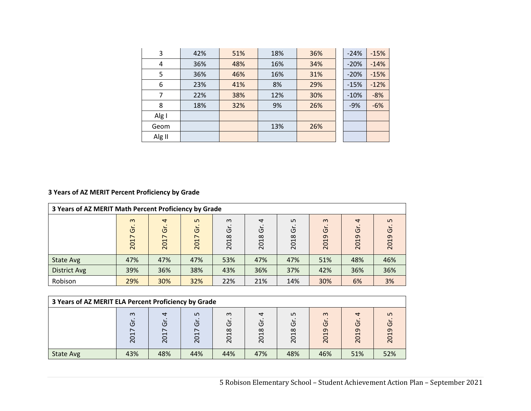| 3      | 42% | 51% | 18% | 36% | $-24%$ | $-15%$ |
|--------|-----|-----|-----|-----|--------|--------|
| 4      | 36% | 48% | 16% | 34% | $-20%$ | $-14%$ |
| 5      | 36% | 46% | 16% | 31% | $-20%$ | $-15%$ |
| 6      | 23% | 41% | 8%  | 29% | $-15%$ | $-12%$ |
| 7      | 22% | 38% | 12% | 30% | $-10%$ | $-8%$  |
| 8      | 18% | 32% | 9%  | 26% | $-9%$  | $-6%$  |
| Alg I  |     |     |     |     |        |        |
| Geom   |     |     | 13% | 26% |        |        |
| Alg II |     |     |     |     |        |        |

# **3 Years of AZ MERIT Percent Proficiency by Grade**

| 3 Years of AZ MERIT Math Percent Proficiency by Grade |                                          |                             |                                                  |                        |                              |                             |                                    |                             |                 |
|-------------------------------------------------------|------------------------------------------|-----------------------------|--------------------------------------------------|------------------------|------------------------------|-----------------------------|------------------------------------|-----------------------------|-----------------|
|                                                       | $\omega$<br>້ບັ<br>$\overline{ }$<br>201 | $\overline{a}$<br>Ġ<br>2017 | LO.<br>Ğ<br>$\overline{ }$<br><b>S</b><br>$\sim$ | $\omega$<br>ັບ<br>2018 | $\overline{a}$<br>ັບ<br>2018 | LO.<br>O<br>$\infty$<br>201 | $\omega$<br>$\overline{5}$<br>2019 | $\overline{a}$<br>উ<br>2019 | Ln<br>Ğ<br>2019 |
| <b>State Avg</b>                                      | 47%                                      | 47%                         | 47%                                              | 53%                    | 47%                          | 47%                         | 51%                                | 48%                         | 46%             |
| <b>District Avg</b>                                   | 39%                                      | 36%                         | 38%                                              | 43%                    | 36%                          | 37%                         | 42%                                | 36%                         | 36%             |
| Robison                                               | 29%                                      | 30%                         | 32%                                              | 22%                    | 21%                          | 14%                         | 30%                                | 6%                          | 3%              |

| 3 Years of AZ MERIT ELA Percent Proficiency by Grade |                                      |                            |                  |                       |                         |                                    |                                |                              |                                                          |
|------------------------------------------------------|--------------------------------------|----------------------------|------------------|-----------------------|-------------------------|------------------------------------|--------------------------------|------------------------------|----------------------------------------------------------|
|                                                      | $\omega$<br>$\overline{C}$<br>$\sim$ | ₹<br>$\overline{C}$<br>201 | ഗ<br>פ<br>$\sim$ | $\omega$<br>י<br>2018 | ↽<br>O<br>018<br>$\sim$ | ഗ<br>LD<br>$\infty$<br>⊣<br>$\sim$ | $\infty$<br>O<br>019<br>$\sim$ | ↽<br>(5)<br>ᡡ<br>◯<br>$\sim$ | ഗ<br>Ğ<br>$\overline{a}$<br>$\circ$<br>$\overline{\sim}$ |
| State Avg                                            | 43%                                  | 48%                        | 44%              | 44%                   | 47%                     | 48%                                | 46%                            | 51%                          | 52%                                                      |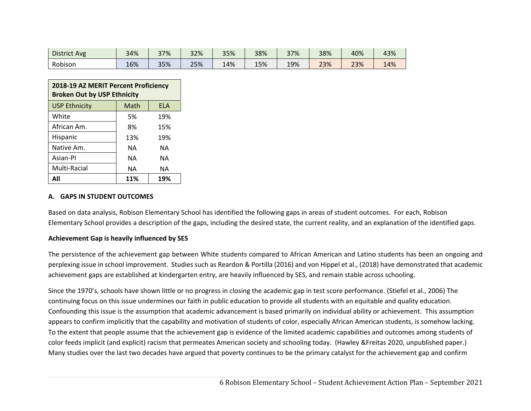| <b>District Avg</b> | 34% | 37% | 32% | 35% | 38% | 37% | 38% | 40% | 43% |
|---------------------|-----|-----|-----|-----|-----|-----|-----|-----|-----|
| Robison             | 16% | 35% | 25% | 14% | 15% | 19% | 23% | 23% | 14% |

| 2018-19 AZ MERIT Percent Proficiency<br><b>Broken Out by USP Ethnicity</b> |      |            |  |  |  |  |  |
|----------------------------------------------------------------------------|------|------------|--|--|--|--|--|
| <b>USP Ethnicity</b>                                                       | Math | <b>FLA</b> |  |  |  |  |  |
| White                                                                      | 5%   | 19%        |  |  |  |  |  |
| African Am.                                                                | 8%   | 15%        |  |  |  |  |  |
| Hispanic                                                                   | 13%  | 19%        |  |  |  |  |  |
| Native Am.                                                                 | NΑ   | NΑ         |  |  |  |  |  |
| Asian-Pl                                                                   | ΝA   | ΝA         |  |  |  |  |  |
| Multi-Racial                                                               | NΑ   | NΑ         |  |  |  |  |  |
| 11%<br>ΔIΙ<br>19%                                                          |      |            |  |  |  |  |  |

## **A. GAPS IN STUDENT OUTCOMES**

Based on data analysis, Robison Elementary School has identified the following gaps in areas of student outcomes. For each, Robison Elementary School provides a description of the gaps, including the desired state, the current reality, and an explanation of the identified gaps.

## **Achievement Gap is heavily influenced by SES**

The persistence of the achievement gap between White students compared to African American and Latino students has been an ongoing and perplexing issue in school improvement. Studies such as Reardon & Portilla (2016) and von Hippel et al., (2018) have demonstrated that academic achievement gaps are established at kindergarten entry, are heavily influenced by SES, and remain stable across schooling.

Since the 1970's, schools have shown little or no progress in closing the academic gap in test score performance. (Stiefel et al., 2006) The continuing focus on this issue undermines our faith in public education to provide all students with an equitable and quality education. Confounding this issue is the assumption that academic advancement is based primarily on individual ability or achievement. This assumption appears to confirm implicitly that the capability and motivation of students of color, especially African American students, is somehow lacking. To the extent that people assume that the achievement gap is evidence of the limited academic capabilities and outcomes among students of color feeds implicit (and explicit) racism that permeates American society and schooling today. (Hawley &Freitas 2020, unpublished paper.) Many studies over the last two decades have argued that poverty continues to be the primary catalyst for the achievement gap and confirm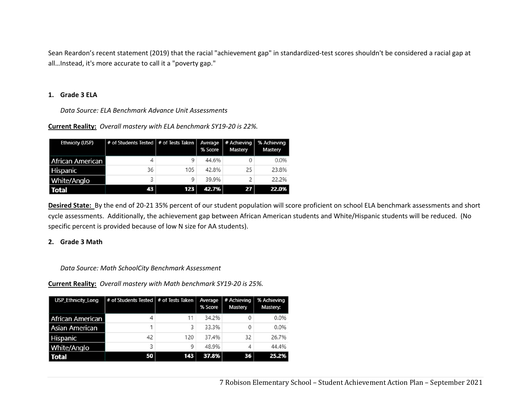Sean Reardon's recent statement (2019) that the racial "achievement gap" in standardized‐test scores shouldn't be considered a racial gap at all…Instead, it's more accurate to call it a "poverty gap."

## **1. Grade 3 ELA**

*Data Source: ELA Benchmark Advance Unit Assessments* 

**Current Reality:** *Overall mastery with ELA benchmark SY19‐20 is 22%.*

| <b>Ethnicity (USP)</b> | # of Students Tested   # of Tests Taken   Average   # Achieving |     | % Score | Mastery | % Achieving<br>Mastery |
|------------------------|-----------------------------------------------------------------|-----|---------|---------|------------------------|
| African American       |                                                                 | 9   | 44.6%   | 0       | 0.0%                   |
| Hispanic               | 36                                                              | 105 | 42.8%   | 25      | 23.8%                  |
| <b>White/Anglo</b>     | 3                                                               | 9   | 39.9%   | 2       | 22.2%                  |
| <b>Total</b>           | 43                                                              | 123 | 42.7%   | 27      | 22.0%                  |

**Desired State:** By the end of 20‐21 35% percent of our student population will score proficient on school ELA benchmark assessments and short cycle assessments. Additionally, the achievement gap between African American students and White/Hispanic students will be reduced. (No specific percent is provided because of low N size for AA students).

## **2. Grade 3 Math**

*Data Source: Math SchoolCity Benchmark Assessment* 

**Current Reality:** *Overall mastery with Math benchmark SY19‐20 is 25%.*

| <b>USP_Ethnicity_Long</b> | # of Students Tested   # of Tests Taken |     | Average<br>% Score | # Achieving<br>Mastery | % Achieving<br>Mastery: |
|---------------------------|-----------------------------------------|-----|--------------------|------------------------|-------------------------|
| African American          | 4                                       | 11  | 34.2%              | 0                      | 0.0%                    |
| <b>Asian American</b>     |                                         | 3   | 33.3%              | 0                      | 0.0%                    |
| Hispanic                  | 42                                      | 120 | 37.4%              | 32                     | 26.7%                   |
| White/Anglo               | 3                                       | 9   | 48.9%              | 4                      | 44.4%                   |
| <b>Total</b>              | <b>50</b>                               | 143 | 37.8%              | 36                     | 25.2%                   |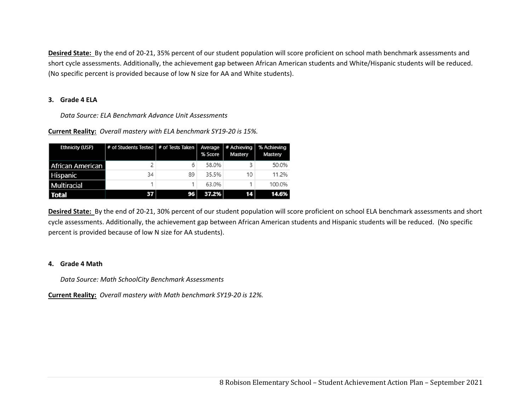**Desired State:** By the end of 20‐21, 35% percent of our student population will score proficient on school math benchmark assessments and short cycle assessments. Additionally, the achievement gap between African American students and White/Hispanic students will be reduced. (No specific percent is provided because of low N size for AA and White students).

## **3. Grade 4 ELA**

*Data Source: ELA Benchmark Advance Unit Assessments* 

**Current Reality:** *Overall mastery with ELA benchmark SY19‐20 is 15%.*

| <b>Ethnicity (USP)</b> | # of Students Tested   # of Tests Taken   Average   # Achieving |    | % Score | Mastery | % Achieving<br>Mastery |
|------------------------|-----------------------------------------------------------------|----|---------|---------|------------------------|
| African American       |                                                                 | 6  | 58.0%   | 3       | 50.0%                  |
| Hispanic               | 34                                                              | 89 | 35.5%   | 10      | 11.2%                  |
| Multiracial            |                                                                 |    | 63.0%   |         | 100.0%                 |
| <b>Total</b>           | 37                                                              | 96 | 37.2%   | 14      | 14.6%                  |

**Desired State:** By the end of 20‐21, 30% percent of our student population will score proficient on school ELA benchmark assessments and short cycle assessments. Additionally, the achievement gap between African American students and Hispanic students will be reduced. (No specific percent is provided because of low N size for AA students).

## **4. Grade 4 Math**

*Data Source: Math SchoolCity Benchmark Assessments* 

**Current Reality:** *Overall mastery with Math benchmark SY19‐20 is 12%.*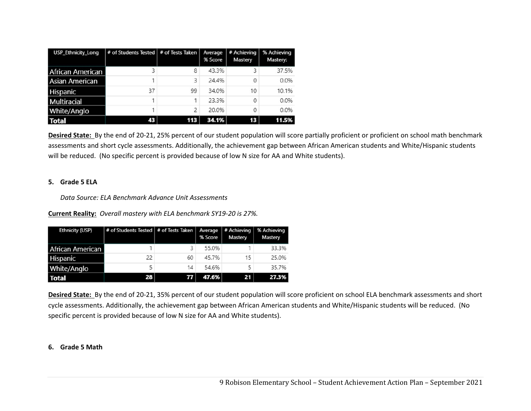| <b>USP Ethnicity Long</b> | # of Students Tested   # of Tests Taken |     | Average<br>% Score | # Achieving<br>Mastery | % Achieving<br>Mastery: |
|---------------------------|-----------------------------------------|-----|--------------------|------------------------|-------------------------|
| <b>African American</b>   |                                         | 8   | 43.3%              | 3                      | 37.5%                   |
| <b>Asian American</b>     |                                         | 3   | 24.4%              | 0                      | 0.0%                    |
| Hispanic                  | 37                                      | 99  | 34.0%              | 10                     | 10.1%                   |
| <b>Multiracial</b>        |                                         | 1   | 23.3%              | 0                      | 0.0%                    |
| White/Anglo               |                                         | 2   | 20.0%              | 0                      | 0.0%                    |
| <b>Total</b>              | 43                                      | 113 | 34.1%              | 13                     | 11.5%                   |

**Desired State:** By the end of 20‐21, 25% percent of our student population will score partially proficient or proficient on school math benchmark assessments and short cycle assessments. Additionally, the achievement gap between African American students and White/Hispanic students will be reduced. (No specific percent is provided because of low N size for AA and White students).

#### **5. Grade 5 ELA**

*Data Source: ELA Benchmark Advance Unit Assessments* 

**Current Reality:** *Overall mastery with ELA benchmark SY19‐20 is 27%.*

| <b>Ethnicity (USP)</b> | # of Students Tested   # of Tests Taken   Average   # Achieving   % Achieving |    | % Score | Mastery | Mastery |
|------------------------|-------------------------------------------------------------------------------|----|---------|---------|---------|
| African American       |                                                                               |    | 55.0%   |         | 33.3%   |
| Hispanic               | 22                                                                            | 60 | 45.7%   | 15      | 25.0%   |
| White/Anglo            | 5                                                                             | 14 | 54.6%   | 5       | 35.7%   |
| <b>Total</b>           | 28                                                                            | 77 | 47.6%   | 21      | 27.3%   |

**Desired State:** By the end of 20‐21, 35% percent of our student population will score proficient on school ELA benchmark assessments and short cycle assessments. Additionally, the achievement gap between African American students and White/Hispanic students will be reduced. (No specific percent is provided because of low N size for AA and White students).

## **6. Grade 5 Math**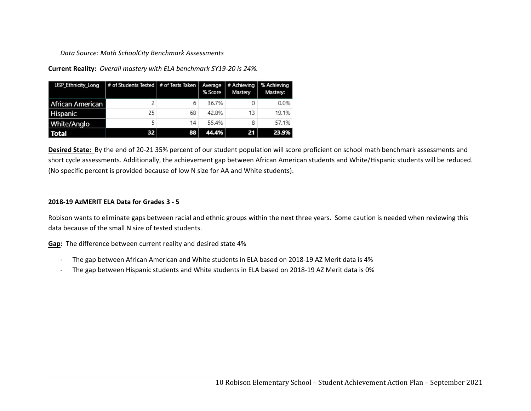## *Data Source: Math SchoolCity Benchmark Assessments*

**Current Reality:** *Overall mastery with ELA benchmark SY19‐20 is 24%.*

| <b>USP_Ethnicity_Long</b> | $#$ of Students Tested $#$ of Tests Taken |    | % Score | Average # Achieving<br>Mastery | % Achieving<br>Mastery: |
|---------------------------|-------------------------------------------|----|---------|--------------------------------|-------------------------|
| African American          |                                           |    | 36.7%   |                                | 0.0%                    |
| Hispanic                  | 25                                        | 68 | 42.8%   | 13                             | 19.1%                   |
| White/Anglo               |                                           | 14 | 55.4%   | 8                              | 57.1%                   |
| <b>Total</b>              | 32                                        | 88 | 44.4%   | 21                             | 23.9%                   |

**Desired State:** By the end of 20‐21 35% percent of our student population will score proficient on school math benchmark assessments and short cycle assessments. Additionally, the achievement gap between African American students and White/Hispanic students will be reduced. (No specific percent is provided because of low N size for AA and White students).

## **2018‐19 AzMERIT ELA Data for Grades 3 ‐ 5**

Robison wants to eliminate gaps between racial and ethnic groups within the next three years. Some caution is needed when reviewing this data because of the small N size of tested students.

**Gap:** The difference between current reality and desired state 4%

- -The gap between African American and White students in ELA based on 2018‐19 AZ Merit data is 4%
- -The gap between Hispanic students and White students in ELA based on 2018‐19 AZ Merit data is 0%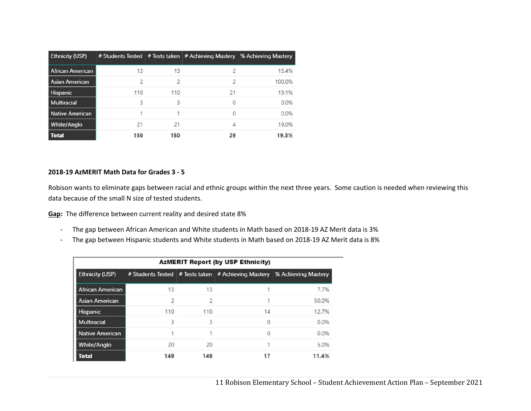| <b>Ethnicity (USP)</b>  |     |                          |    | # Students Tested   # Tests taken   # Achieving Mastery % Achieving Mastery |
|-------------------------|-----|--------------------------|----|-----------------------------------------------------------------------------|
| <b>African American</b> | 13  | 13                       |    | 15.4%                                                                       |
| <b>Asian American</b>   | フ   | $\overline{\phantom{a}}$ |    | 100.0%                                                                      |
| Hispanic                | 110 | 110                      | 21 | 19.1%                                                                       |
| <b>Multiracial</b>      | ₹   | ર                        | 0  | 0.0%                                                                        |
| <b>Native American</b>  |     |                          |    | 0.0%                                                                        |
| White/Anglo             | 21  | 21                       |    | 19.0%                                                                       |
| <b>Total</b>            | 150 | 150                      | 29 | 19.3%                                                                       |

## **2018‐19 AzMERIT Math Data for Grades 3 ‐ 5**

Robison wants to eliminate gaps between racial and ethnic groups within the next three years. Some caution is needed when reviewing this data because of the small N size of tested students.

**Gap:** The difference between current reality and desired state 8%

- -The gap between African American and White students in Math based on 2018‐19 AZ Merit data is 3%
- -The gap between Hispanic students and White students in Math based on 2018‐19 AZ Merit data is 8%

| <b>AzMERIT Report (by USP Ethnicity)</b> |     |                |          |                                                                             |  |
|------------------------------------------|-----|----------------|----------|-----------------------------------------------------------------------------|--|
| <b>Ethnicity (USP)</b>                   |     |                |          | # Students Tested   # Tests taken   # Achieving Mastery % Achieving Mastery |  |
| <b>African American</b>                  | 13  | 13             |          | 7.7%                                                                        |  |
| <b>Asian American</b>                    | 2   | $\overline{c}$ |          | 50.0%                                                                       |  |
| Hispanic                                 | 110 | 110            | 14       | 12.7%                                                                       |  |
| Multiracial                              | 3   | 3              | $\Omega$ | 0.0%                                                                        |  |
| Native American                          | 1   |                | $\Omega$ | 0.0%                                                                        |  |
| <b>White/Anglo</b>                       | 20  | 20             |          | 5.0%                                                                        |  |
| <b>Total</b>                             | 149 | 149            | 17       | 11.4%                                                                       |  |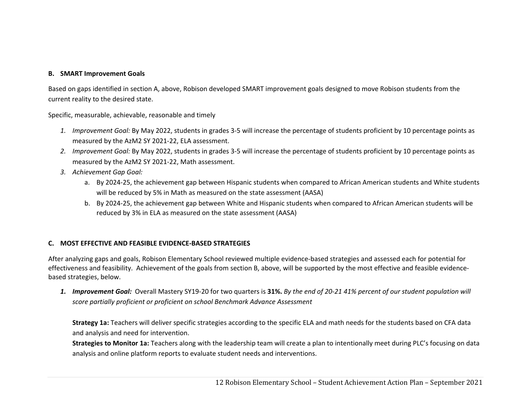## **B. SMART Improvement Goals**

Based on gaps identified in section A, above, Robison developed SMART improvement goals designed to move Robison students from the current reality to the desired state.

Specific, measurable, achievable, reasonable and timely

- *1. Improvement Goal:* By May 2022, students in grades 3‐5 will increase the percentage of students proficient by 10 percentage points as measured by the AzM2 SY 2021‐22, ELA assessment.
- *2. Improvement Goal:* By May 2022, students in grades 3‐5 will increase the percentage of students proficient by 10 percentage points as measured by the AzM2 SY 2021‐22, Math assessment.
- *3. Achievement Gap Goal:* 
	- a. By 2024‐25, the achievement gap between Hispanic students when compared to African American students and White students will be reduced by 5% in Math as measured on the state assessment (AASA)
	- b. By 2024‐25, the achievement gap between White and Hispanic students when compared to African American students will be reduced by 3% in ELA as measured on the state assessment (AASA)

## **C. MOST EFFECTIVE AND FEASIBLE EVIDENCE‐BASED STRATEGIES**

After analyzing gaps and goals, Robison Elementary School reviewed multiple evidence‐based strategies and assessed each for potential for effectiveness and feasibility. Achievement of the goals from section B, above, will be supported by the most effective and feasible evidence‐ based strategies, below.

*1. Improvement Goal:* Overall Mastery SY19‐20 for two quarters is **31%.** *By the end of 20‐21 41% percent of our student population will score partially proficient or proficient on school Benchmark Advance Assessment*

**Strategy 1a:** Teachers will deliver specific strategies according to the specific ELA and math needs for the students based on CFA data and analysis and need for intervention.

**Strategies to Monitor 1a:** Teachers along with the leadership team will create a plan to intentionally meet during PLC's focusing on data analysis and online platform reports to evaluate student needs and interventions.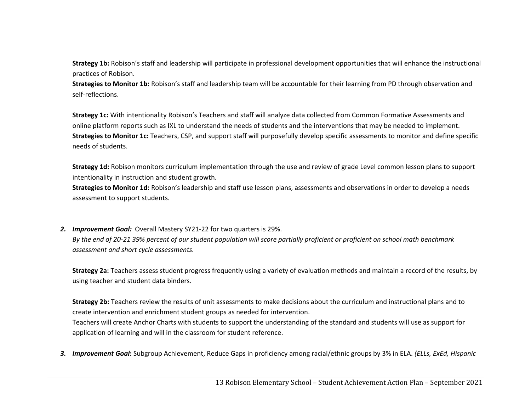**Strategy 1b:** Robison's staff and leadership will participate in professional development opportunities that will enhance the instructional practices of Robison.

**Strategies to Monitor 1b:** Robison's staff and leadership team will be accountable for their learning from PD through observation and self‐reflections.

**Strategy 1c:** With intentionality Robison's Teachers and staff will analyze data collected from Common Formative Assessments and online platform reports such as IXL to understand the needs of students and the interventions that may be needed to implement. **Strategies to Monitor 1c:** Teachers, CSP, and support staff will purposefully develop specific assessments to monitor and define specific needs of students.

**Strategy 1d:** Robison monitors curriculum implementation through the use and review of grade Level common lesson plans to support intentionality in instruction and student growth.

**Strategies to Monitor 1d:** Robison's leadership and staff use lesson plans, assessments and observations in order to develop a needs assessment to support students.

*2. Improvement Goal:* Overall Mastery SY21‐22 for two quarters is 29%.

*By the end of 20‐21 39% percent of our student population will score partially proficient or proficient on school math benchmark assessment and short cycle assessments.* 

**Strategy 2a:** Teachers assess student progress frequently using a variety of evaluation methods and maintain a record of the results, by using teacher and student data binders.

**Strategy 2b:** Teachers review the results of unit assessments to make decisions about the curriculum and instructional plans and to create intervention and enrichment student groups as needed for intervention.

Teachers will create Anchor Charts with students to support the understanding of the standard and students will use as support for application of learning and will in the classroom for student reference.

*3. Improvement Goal***:** Subgroup Achievement, Reduce Gaps in proficiency among racial/ethnic groups by 3% in ELA. *(ELLs, ExEd, Hispanic*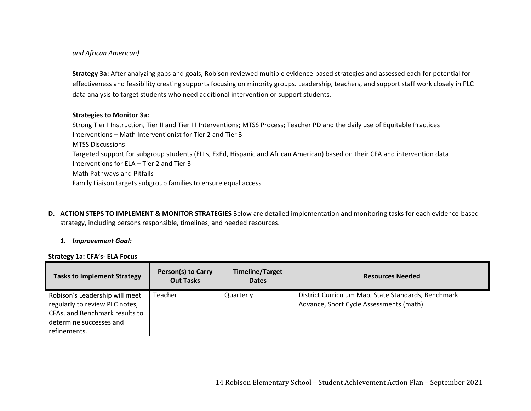## *and African American)*

**Strategy 3a:** After analyzing gaps and goals, Robison reviewed multiple evidence‐based strategies and assessed each for potential for effectiveness and feasibility creating supports focusing on minority groups. Leadership, teachers, and support staff work closely in PLC data analysis to target students who need additional intervention or support students.

## **Strategies to Monitor 3a:**

Strong Tier I Instruction, Tier II and Tier III Interventions; MTSS Process; Teacher PD and the daily use of Equitable Practices Interventions – Math Interventionist for Tier 2 and Tier 3

MTSS Discussions

Targeted support for subgroup students (ELLs, ExEd, Hispanic and African American) based on their CFA and intervention data Interventions for ELA – Tier 2 and Tier 3 Math Pathways and Pitfalls

Family Liaison targets subgroup families to ensure equal access

**D. ACTION STEPS TO IMPLEMENT & MONITOR STRATEGIES** Below are detailed implementation and monitoring tasks for each evidence‐based strategy, including persons responsible, timelines, and needed resources.

## *1. Improvement Goal:*

## **Strategy 1a: CFA's‐ ELA Focus**

| <b>Tasks to Implement Strategy</b>                                                                                                            | <b>Person(s) to Carry</b><br><b>Out Tasks</b> | <b>Timeline/Target</b><br><b>Dates</b> | <b>Resources Needed</b>                                                                        |
|-----------------------------------------------------------------------------------------------------------------------------------------------|-----------------------------------------------|----------------------------------------|------------------------------------------------------------------------------------------------|
| Robison's Leadership will meet<br>regularly to review PLC notes,<br>CFAs, and Benchmark results to<br>determine successes and<br>refinements. | Teacher                                       | Quarterly                              | District Curriculum Map, State Standards, Benchmark<br>Advance, Short Cycle Assessments (math) |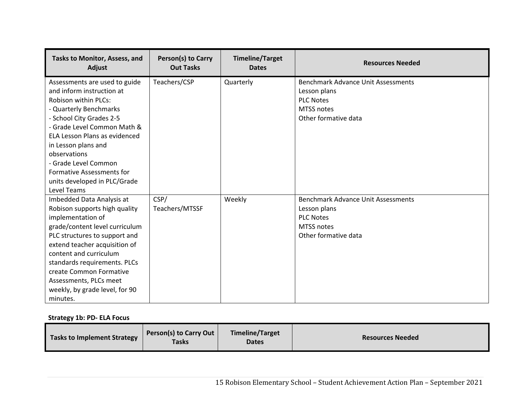| Tasks to Monitor, Assess, and<br>Adjust | Person(s) to Carry<br><b>Out Tasks</b> | <b>Timeline/Target</b><br><b>Dates</b> | <b>Resources Needed</b>                   |
|-----------------------------------------|----------------------------------------|----------------------------------------|-------------------------------------------|
| Assessments are used to guide           | Teachers/CSP                           | Quarterly                              | <b>Benchmark Advance Unit Assessments</b> |
| and inform instruction at               |                                        |                                        | Lesson plans                              |
| <b>Robison within PLCs:</b>             |                                        |                                        | <b>PLC Notes</b>                          |
| - Quarterly Benchmarks                  |                                        |                                        | MTSS notes                                |
| - School City Grades 2-5                |                                        |                                        | Other formative data                      |
| - Grade Level Common Math &             |                                        |                                        |                                           |
| ELA Lesson Plans as evidenced           |                                        |                                        |                                           |
| in Lesson plans and                     |                                        |                                        |                                           |
| observations                            |                                        |                                        |                                           |
| - Grade Level Common                    |                                        |                                        |                                           |
| <b>Formative Assessments for</b>        |                                        |                                        |                                           |
| units developed in PLC/Grade            |                                        |                                        |                                           |
| Level Teams                             |                                        |                                        |                                           |
| Imbedded Data Analysis at               | CSP/                                   | Weekly                                 | Benchmark Advance Unit Assessments        |
| Robison supports high quality           | Teachers/MTSSF                         |                                        | Lesson plans                              |
| implementation of                       |                                        |                                        | <b>PLC Notes</b>                          |
| grade/content level curriculum          |                                        |                                        | <b>MTSS notes</b>                         |
| PLC structures to support and           |                                        |                                        | Other formative data                      |
| extend teacher acquisition of           |                                        |                                        |                                           |
| content and curriculum                  |                                        |                                        |                                           |
| standards requirements. PLCs            |                                        |                                        |                                           |
| create Common Formative                 |                                        |                                        |                                           |
| Assessments, PLCs meet                  |                                        |                                        |                                           |
| weekly, by grade level, for 90          |                                        |                                        |                                           |
| minutes.                                |                                        |                                        |                                           |

**Strategy 1b: PD‐ ELA Focus** 

| <b>Tasks to Implement Strategy</b> | <b>Person(s) to Carry Out</b><br><b>Tasks</b> | <b>Timeline/Target</b><br><b>Dates</b> | <b>Resources Needed</b> |
|------------------------------------|-----------------------------------------------|----------------------------------------|-------------------------|
|------------------------------------|-----------------------------------------------|----------------------------------------|-------------------------|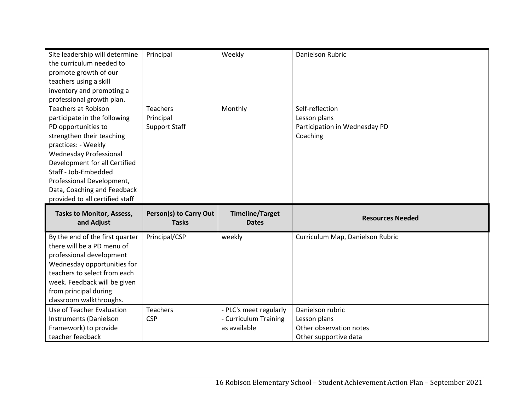| Site leadership will determine<br>the curriculum needed to | Principal              | Weekly                 | Danielson Rubric                                 |
|------------------------------------------------------------|------------------------|------------------------|--------------------------------------------------|
| promote growth of our                                      |                        |                        |                                                  |
| teachers using a skill                                     |                        |                        |                                                  |
| inventory and promoting a                                  |                        |                        |                                                  |
| professional growth plan.                                  |                        |                        |                                                  |
| <b>Teachers at Robison</b>                                 | <b>Teachers</b>        | Monthly                | Self-reflection                                  |
| participate in the following                               | Principal              |                        | Lesson plans                                     |
| PD opportunities to                                        | <b>Support Staff</b>   |                        | Participation in Wednesday PD                    |
| strengthen their teaching                                  |                        |                        | Coaching                                         |
| practices: - Weekly                                        |                        |                        |                                                  |
| <b>Wednesday Professional</b>                              |                        |                        |                                                  |
| Development for all Certified                              |                        |                        |                                                  |
| Staff - Job-Embedded                                       |                        |                        |                                                  |
| Professional Development,                                  |                        |                        |                                                  |
| Data, Coaching and Feedback                                |                        |                        |                                                  |
|                                                            |                        |                        |                                                  |
| provided to all certified staff                            |                        |                        |                                                  |
| <b>Tasks to Monitor, Assess,</b>                           | Person(s) to Carry Out | <b>Timeline/Target</b> |                                                  |
| and Adjust                                                 | <b>Tasks</b>           | <b>Dates</b>           | <b>Resources Needed</b>                          |
| By the end of the first quarter                            | Principal/CSP          | weekly                 | Curriculum Map, Danielson Rubric                 |
| there will be a PD menu of                                 |                        |                        |                                                  |
| professional development                                   |                        |                        |                                                  |
| Wednesday opportunities for                                |                        |                        |                                                  |
| teachers to select from each                               |                        |                        |                                                  |
| week. Feedback will be given                               |                        |                        |                                                  |
| from principal during                                      |                        |                        |                                                  |
| classroom walkthroughs.                                    |                        |                        |                                                  |
| Use of Teacher Evaluation                                  | <b>Teachers</b>        | - PLC's meet regularly | Danielson rubric                                 |
| Instruments (Danielson                                     | <b>CSP</b>             | - Curriculum Training  | Lesson plans                                     |
| Framework) to provide<br>teacher feedback                  |                        | as available           | Other observation notes<br>Other supportive data |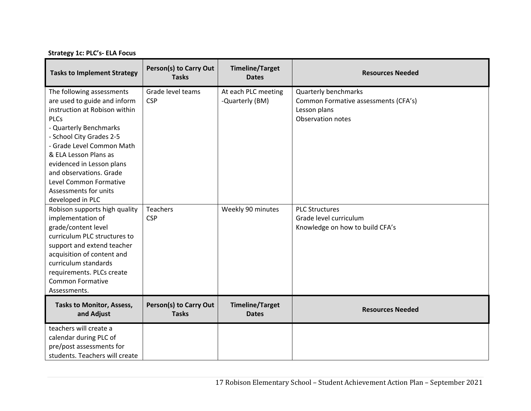**Strategy 1c: PLC's‐ ELA Focus** 

| <b>Tasks to Implement Strategy</b>                                                                                                                                                                                                                                                                                               | Person(s) to Carry Out<br><b>Tasks</b> | <b>Timeline/Target</b><br><b>Dates</b> | <b>Resources Needed</b>                                                                                  |
|----------------------------------------------------------------------------------------------------------------------------------------------------------------------------------------------------------------------------------------------------------------------------------------------------------------------------------|----------------------------------------|----------------------------------------|----------------------------------------------------------------------------------------------------------|
| The following assessments<br>are used to guide and inform<br>instruction at Robison within<br><b>PLCs</b><br>- Quarterly Benchmarks<br>- School City Grades 2-5<br>- Grade Level Common Math<br>& ELA Lesson Plans as<br>evidenced in Lesson plans<br>and observations. Grade<br>Level Common Formative<br>Assessments for units | Grade level teams<br><b>CSP</b>        | At each PLC meeting<br>-Quarterly (BM) | <b>Quarterly benchmarks</b><br>Common Formative assessments (CFA's)<br>Lesson plans<br>Observation notes |
| developed in PLC<br>Robison supports high quality<br>implementation of<br>grade/content level<br>curriculum PLC structures to<br>support and extend teacher<br>acquisition of content and<br>curriculum standards<br>requirements. PLCs create<br><b>Common Formative</b><br>Assessments.                                        | <b>Teachers</b><br><b>CSP</b>          | Weekly 90 minutes                      | <b>PLC Structures</b><br>Grade level curriculum<br>Knowledge on how to build CFA's                       |
| <b>Tasks to Monitor, Assess,</b><br>and Adjust                                                                                                                                                                                                                                                                                   | Person(s) to Carry Out<br><b>Tasks</b> | <b>Timeline/Target</b><br><b>Dates</b> | <b>Resources Needed</b>                                                                                  |
| teachers will create a<br>calendar during PLC of<br>pre/post assessments for<br>students. Teachers will create                                                                                                                                                                                                                   |                                        |                                        |                                                                                                          |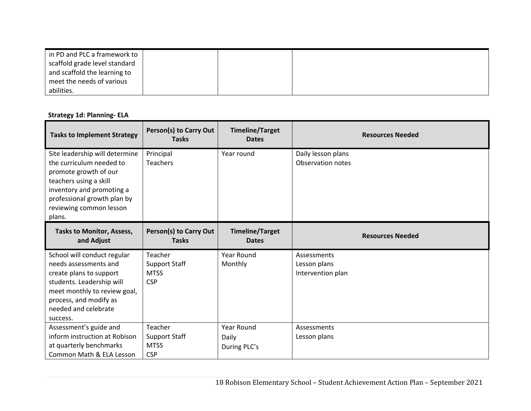| in PD and PLC a framework to  |  |  |
|-------------------------------|--|--|
| scaffold grade level standard |  |  |
| and scaffold the learning to  |  |  |
| meet the needs of various     |  |  |
| abilities.                    |  |  |

# **Strategy 1d: Planning‐ ELA**

| <b>Tasks to Implement Strategy</b>                                                                                                                                                                             | Person(s) to Carry Out<br><b>Tasks</b>                       | <b>Timeline/Target</b><br><b>Dates</b> | <b>Resources Needed</b>                          |
|----------------------------------------------------------------------------------------------------------------------------------------------------------------------------------------------------------------|--------------------------------------------------------------|----------------------------------------|--------------------------------------------------|
| Site leadership will determine<br>the curriculum needed to<br>promote growth of our<br>teachers using a skill<br>inventory and promoting a<br>professional growth plan by<br>reviewing common lesson<br>plans. | Principal<br><b>Teachers</b>                                 | Year round                             | Daily lesson plans<br><b>Observation notes</b>   |
| <b>Tasks to Monitor, Assess,</b><br>and Adjust                                                                                                                                                                 | Person(s) to Carry Out<br><b>Tasks</b>                       | <b>Timeline/Target</b><br><b>Dates</b> | <b>Resources Needed</b>                          |
| School will conduct regular<br>needs assessments and<br>create plans to support<br>students. Leadership will<br>meet monthly to review goal,<br>process, and modify as<br>needed and celebrate<br>success.     | Teacher<br><b>Support Staff</b><br><b>MTSS</b><br><b>CSP</b> | Year Round<br>Monthly                  | Assessments<br>Lesson plans<br>Intervention plan |
| Assessment's guide and<br>inform instruction at Robison<br>at quarterly benchmarks<br>Common Math & ELA Lesson                                                                                                 | Teacher<br><b>Support Staff</b><br><b>MTSS</b><br><b>CSP</b> | Year Round<br>Daily<br>During PLC's    | Assessments<br>Lesson plans                      |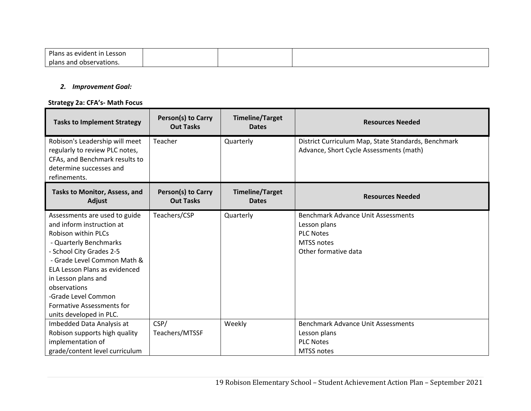| Plans<br>∟esson<br>as evident in |  |  |
|----------------------------------|--|--|
| plans and<br>observations.       |  |  |

#### *2. Improvement Goal:*

## **Strategy 2a: CFA's‐ Math Focus**

| <b>Tasks to Implement Strategy</b>                                                                                                                                                                                                                                                                                                          | Person(s) to Carry<br><b>Out Tasks</b> | <b>Timeline/Target</b><br><b>Dates</b> | <b>Resources Needed</b>                                                                                                    |  |
|---------------------------------------------------------------------------------------------------------------------------------------------------------------------------------------------------------------------------------------------------------------------------------------------------------------------------------------------|----------------------------------------|----------------------------------------|----------------------------------------------------------------------------------------------------------------------------|--|
| Robison's Leadership will meet<br>regularly to review PLC notes,<br>CFAs, and Benchmark results to<br>determine successes and<br>refinements.                                                                                                                                                                                               | Teacher                                | Quarterly                              | District Curriculum Map, State Standards, Benchmark<br>Advance, Short Cycle Assessments (math)                             |  |
| Tasks to Monitor, Assess, and<br>Adjust                                                                                                                                                                                                                                                                                                     | Person(s) to Carry<br><b>Out Tasks</b> | <b>Timeline/Target</b><br><b>Dates</b> | <b>Resources Needed</b>                                                                                                    |  |
| Assessments are used to guide<br>and inform instruction at<br><b>Robison within PLCs</b><br>- Quarterly Benchmarks<br>- School City Grades 2-5<br>- Grade Level Common Math &<br><b>ELA Lesson Plans as evidenced</b><br>in Lesson plans and<br>observations<br>-Grade Level Common<br>Formative Assessments for<br>units developed in PLC. | Teachers/CSP                           | Quarterly                              | <b>Benchmark Advance Unit Assessments</b><br>Lesson plans<br><b>PLC Notes</b><br><b>MTSS notes</b><br>Other formative data |  |
| Imbedded Data Analysis at<br>Robison supports high quality<br>implementation of                                                                                                                                                                                                                                                             | CSP/<br>Teachers/MTSSF                 | Weekly                                 | <b>Benchmark Advance Unit Assessments</b><br>Lesson plans<br><b>PLC Notes</b>                                              |  |
| grade/content level curriculum                                                                                                                                                                                                                                                                                                              |                                        |                                        | <b>MTSS notes</b>                                                                                                          |  |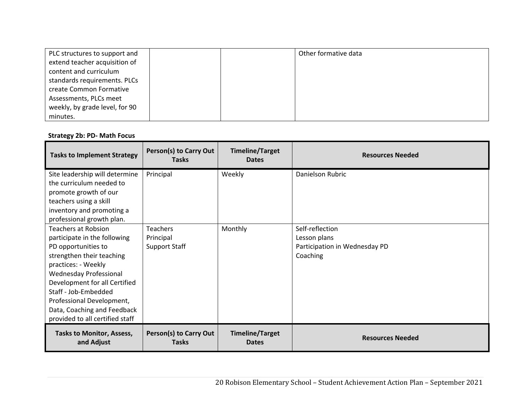| PLC structures to support and  |  | Other formative data |
|--------------------------------|--|----------------------|
| extend teacher acquisition of  |  |                      |
| content and curriculum         |  |                      |
| standards requirements. PLCs   |  |                      |
| create Common Formative        |  |                      |
| Assessments, PLCs meet         |  |                      |
| weekly, by grade level, for 90 |  |                      |
| minutes.                       |  |                      |

# **Strategy 2b: PD‐ Math Focus**

| <b>Tasks to Implement Strategy</b>                                                                                                                                                                                                                                                                               | Person(s) to Carry Out<br><b>Tasks</b>               | <b>Timeline/Target</b><br><b>Dates</b> | <b>Resources Needed</b>                                                      |
|------------------------------------------------------------------------------------------------------------------------------------------------------------------------------------------------------------------------------------------------------------------------------------------------------------------|------------------------------------------------------|----------------------------------------|------------------------------------------------------------------------------|
| Site leadership will determine<br>the curriculum needed to<br>promote growth of our<br>teachers using a skill<br>inventory and promoting a<br>professional growth plan.                                                                                                                                          | Principal                                            | Weekly                                 | Danielson Rubric                                                             |
| Teachers at Robsion<br>participate in the following<br>PD opportunities to<br>strengthen their teaching<br>practices: - Weekly<br>Wednesday Professional<br>Development for all Certified<br>Staff - Job-Embedded<br>Professional Development,<br>Data, Coaching and Feedback<br>provided to all certified staff | <b>Teachers</b><br>Principal<br><b>Support Staff</b> | Monthly                                | Self-reflection<br>Lesson plans<br>Participation in Wednesday PD<br>Coaching |
| <b>Tasks to Monitor, Assess,</b><br>and Adjust                                                                                                                                                                                                                                                                   | Person(s) to Carry Out<br><b>Tasks</b>               | <b>Timeline/Target</b><br><b>Dates</b> | <b>Resources Needed</b>                                                      |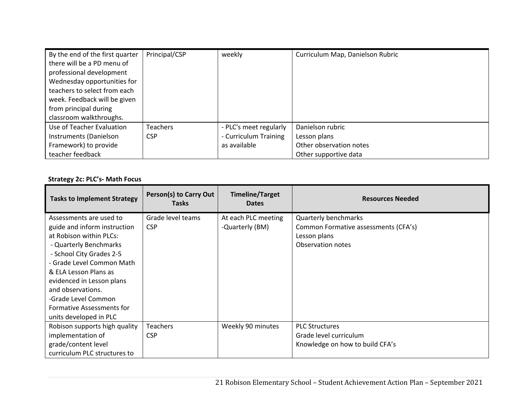| By the end of the first quarter | Principal/CSP   | weekly                 | Curriculum Map, Danielson Rubric |
|---------------------------------|-----------------|------------------------|----------------------------------|
| there will be a PD menu of      |                 |                        |                                  |
| professional development        |                 |                        |                                  |
| Wednesday opportunities for     |                 |                        |                                  |
| teachers to select from each    |                 |                        |                                  |
| week. Feedback will be given    |                 |                        |                                  |
| from principal during           |                 |                        |                                  |
| classroom walkthroughs.         |                 |                        |                                  |
| Use of Teacher Evaluation       | <b>Teachers</b> | - PLC's meet regularly | Danielson rubric                 |
| Instruments (Danielson          | <b>CSP</b>      | - Curriculum Training  | Lesson plans                     |
| Framework) to provide           |                 | as available           | Other observation notes          |
| teacher feedback                |                 |                        | Other supportive data            |

# **Strategy 2c: PLC's‐ Math Focus**

| <b>Tasks to Implement Strategy</b>                                                                                                                                                                                                                                                                                             | <b>Person(s) to Carry Out</b><br><b>Tasks</b> | <b>Timeline/Target</b><br><b>Dates</b> | <b>Resources Needed</b>                                                                           |
|--------------------------------------------------------------------------------------------------------------------------------------------------------------------------------------------------------------------------------------------------------------------------------------------------------------------------------|-----------------------------------------------|----------------------------------------|---------------------------------------------------------------------------------------------------|
| Assessments are used to<br>guide and inform instruction<br>at Robison within PLCs:<br>- Quarterly Benchmarks<br>- School City Grades 2-5<br>- Grade Level Common Math<br>& ELA Lesson Plans as<br>evidenced in Lesson plans<br>and observations.<br>-Grade Level Common<br>Formative Assessments for<br>units developed in PLC | Grade level teams<br><b>CSP</b>               | At each PLC meeting<br>-Quarterly (BM) | Quarterly benchmarks<br>Common Formative assessments (CFA's)<br>Lesson plans<br>Observation notes |
| Robison supports high quality<br>implementation of<br>grade/content level<br>curriculum PLC structures to                                                                                                                                                                                                                      | Teachers<br><b>CSP</b>                        | Weekly 90 minutes                      | <b>PLC Structures</b><br>Grade level curriculum<br>Knowledge on how to build CFA's                |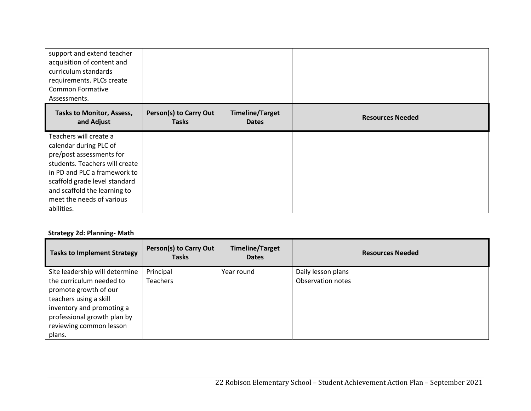| support and extend teacher<br>acquisition of content and<br>curriculum standards<br>requirements. PLCs create<br><b>Common Formative</b><br>Assessments.                                                                                                   |                                               |                                        |                         |
|------------------------------------------------------------------------------------------------------------------------------------------------------------------------------------------------------------------------------------------------------------|-----------------------------------------------|----------------------------------------|-------------------------|
| <b>Tasks to Monitor, Assess,</b><br>and Adjust                                                                                                                                                                                                             | <b>Person(s) to Carry Out</b><br><b>Tasks</b> | <b>Timeline/Target</b><br><b>Dates</b> | <b>Resources Needed</b> |
| Teachers will create a<br>calendar during PLC of<br>pre/post assessments for<br>students. Teachers will create<br>in PD and PLC a framework to<br>scaffold grade level standard<br>and scaffold the learning to<br>meet the needs of various<br>abilities. |                                               |                                        |                         |

# **Strategy 2d: Planning‐ Math**

| <b>Tasks to Implement Strategy</b>                                                                                                                                           | <b>Person(s) to Carry Out</b><br><b>Tasks</b> | <b>Timeline/Target</b><br><b>Dates</b> | <b>Resources Needed</b> |
|------------------------------------------------------------------------------------------------------------------------------------------------------------------------------|-----------------------------------------------|----------------------------------------|-------------------------|
| Site leadership will determine                                                                                                                                               | Principal                                     | Year round                             | Daily lesson plans      |
| the curriculum needed to<br>promote growth of our<br>teachers using a skill<br>inventory and promoting a<br>professional growth plan by<br>reviewing common lesson<br>plans. | <b>Teachers</b>                               |                                        | Observation notes       |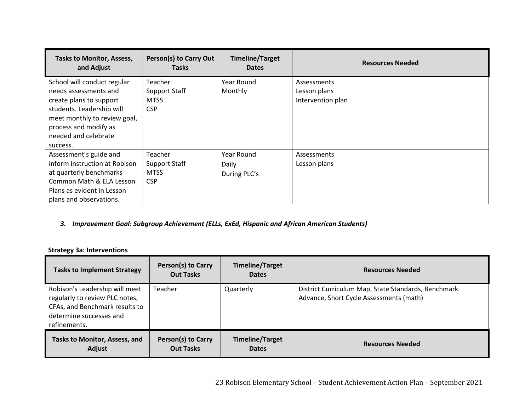| <b>Tasks to Monitor, Assess,</b><br>and Adjust | Person(s) to Carry Out<br><b>Tasks</b> | <b>Timeline/Target</b><br><b>Dates</b> | <b>Resources Needed</b> |
|------------------------------------------------|----------------------------------------|----------------------------------------|-------------------------|
| School will conduct regular                    | Teacher                                | Year Round                             | Assessments             |
| needs assessments and                          | <b>Support Staff</b>                   | Monthly                                | Lesson plans            |
| create plans to support                        | <b>MTSS</b>                            |                                        | Intervention plan       |
| students. Leadership will                      | <b>CSP</b>                             |                                        |                         |
| meet monthly to review goal,                   |                                        |                                        |                         |
| process and modify as                          |                                        |                                        |                         |
| needed and celebrate                           |                                        |                                        |                         |
| success.                                       |                                        |                                        |                         |
| Assessment's guide and                         | Teacher                                | Year Round                             | Assessments             |
| inform instruction at Robison                  | <b>Support Staff</b>                   | Daily                                  | Lesson plans            |
| at quarterly benchmarks                        | <b>MTSS</b>                            | During PLC's                           |                         |
| Common Math & ELA Lesson                       | <b>CSP</b>                             |                                        |                         |
| Plans as evident in Lesson                     |                                        |                                        |                         |
| plans and observations.                        |                                        |                                        |                         |

## *3. Improvement Goal: Subgroup Achievement (ELLs, ExEd, Hispanic and African American Students)*

# **Strategy 3a: Interventions**

| <b>Tasks to Implement Strategy</b>                                                                                                            | <b>Person(s) to Carry</b><br><b>Out Tasks</b> | <b>Timeline/Target</b><br><b>Dates</b> | <b>Resources Needed</b>                                                                        |
|-----------------------------------------------------------------------------------------------------------------------------------------------|-----------------------------------------------|----------------------------------------|------------------------------------------------------------------------------------------------|
| Robison's Leadership will meet<br>regularly to review PLC notes,<br>CFAs, and Benchmark results to<br>determine successes and<br>refinements. | Teacher                                       | Quarterly                              | District Curriculum Map, State Standards, Benchmark<br>Advance, Short Cycle Assessments (math) |
| <b>Tasks to Monitor, Assess, and</b><br>Adjust                                                                                                | <b>Person(s) to Carry</b><br><b>Out Tasks</b> | <b>Timeline/Target</b><br><b>Dates</b> | <b>Resources Needed</b>                                                                        |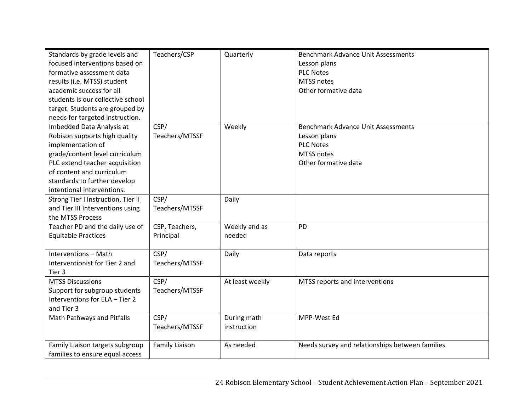| Standards by grade levels and      | Teachers/CSP          | Quarterly       | <b>Benchmark Advance Unit Assessments</b>       |
|------------------------------------|-----------------------|-----------------|-------------------------------------------------|
| focused interventions based on     |                       |                 | Lesson plans                                    |
| formative assessment data          |                       |                 | <b>PLC Notes</b>                                |
| results (i.e. MTSS) student        |                       |                 | MTSS notes                                      |
| academic success for all           |                       |                 | Other formative data                            |
| students is our collective school  |                       |                 |                                                 |
| target. Students are grouped by    |                       |                 |                                                 |
| needs for targeted instruction.    |                       |                 |                                                 |
| Imbedded Data Analysis at          | CSP/                  | Weekly          | <b>Benchmark Advance Unit Assessments</b>       |
| Robison supports high quality      | Teachers/MTSSF        |                 | Lesson plans                                    |
| implementation of                  |                       |                 | <b>PLC Notes</b>                                |
| grade/content level curriculum     |                       |                 | MTSS notes                                      |
| PLC extend teacher acquisition     |                       |                 | Other formative data                            |
| of content and curriculum          |                       |                 |                                                 |
| standards to further develop       |                       |                 |                                                 |
| intentional interventions.         |                       |                 |                                                 |
| Strong Tier I Instruction, Tier II | CSP/                  | Daily           |                                                 |
| and Tier III Interventions using   | Teachers/MTSSF        |                 |                                                 |
| the MTSS Process                   |                       |                 |                                                 |
| Teacher PD and the daily use of    | CSP, Teachers,        | Weekly and as   | <b>PD</b>                                       |
| <b>Equitable Practices</b>         | Principal             | needed          |                                                 |
|                                    |                       |                 |                                                 |
| Interventions - Math               | CSP/                  | Daily           | Data reports                                    |
| Interventionist for Tier 2 and     | Teachers/MTSSF        |                 |                                                 |
| Tier 3                             |                       |                 |                                                 |
| <b>MTSS Discussions</b>            | CSP/                  | At least weekly | MTSS reports and interventions                  |
| Support for subgroup students      | Teachers/MTSSF        |                 |                                                 |
| Interventions for ELA - Tier 2     |                       |                 |                                                 |
| and Tier 3                         |                       |                 |                                                 |
| Math Pathways and Pitfalls         | CSP/                  | During math     | MPP-West Ed                                     |
|                                    | Teachers/MTSSF        | instruction     |                                                 |
|                                    |                       |                 |                                                 |
| Family Liaison targets subgroup    | <b>Family Liaison</b> | As needed       | Needs survey and relationships between families |
| families to ensure equal access    |                       |                 |                                                 |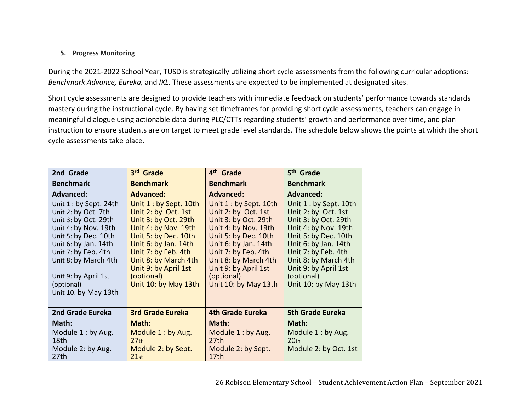# **5. Progress Monitoring**

During the 2021-2022 School Year, TUSD is strategically utilizing short cycle assessments from the following curricular adoptions: *Benchmark Advance, Eureka,* and *IXL*. These assessments are expected to be implemented at designated sites.

Short cycle assessments are designed to provide teachers with immediate feedback on students' performance towards standards mastery during the instructional cycle. By having set timeframes for providing short cycle assessments, teachers can engage in meaningful dialogue using actionable data during PLC/CTTs regarding students' growth and performance over time, and plan instruction to ensure students are on target to meet grade level standards. The schedule below shows the points at which the short cycle assessments take place.

| 2nd Grade                                                                                                                                                                                                                                                   | 3rd Grade                                                                                                                                                                                                                                                  | 4 <sup>th</sup> Grade                                                                                                                                                                                                                                      | 5 <sup>th</sup> Grade                                                                                                                                                                                                                                      |
|-------------------------------------------------------------------------------------------------------------------------------------------------------------------------------------------------------------------------------------------------------------|------------------------------------------------------------------------------------------------------------------------------------------------------------------------------------------------------------------------------------------------------------|------------------------------------------------------------------------------------------------------------------------------------------------------------------------------------------------------------------------------------------------------------|------------------------------------------------------------------------------------------------------------------------------------------------------------------------------------------------------------------------------------------------------------|
| <b>Benchmark</b>                                                                                                                                                                                                                                            | <b>Benchmark</b>                                                                                                                                                                                                                                           | <b>Benchmark</b>                                                                                                                                                                                                                                           | <b>Benchmark</b>                                                                                                                                                                                                                                           |
| <b>Advanced:</b>                                                                                                                                                                                                                                            | <b>Advanced:</b>                                                                                                                                                                                                                                           | <b>Advanced:</b>                                                                                                                                                                                                                                           | <b>Advanced:</b>                                                                                                                                                                                                                                           |
| Unit $1:$ by Sept. 24th<br>Unit 2: by Oct. 7th<br>Unit 3: by Oct. 29th<br>Unit 4: by Nov. 19th<br>Unit 5: by Dec. 10th<br>Unit 6: by Jan. 14th<br>Unit 7: by Feb. 4th<br>Unit 8: by March 4th<br>Unit 9: by April 1st<br>(optional)<br>Unit 10: by May 13th | Unit 1 : by Sept. 10th<br>Unit 2: by Oct. 1st<br>Unit 3: by Oct. 29th<br>Unit 4: by Nov. 19th<br>Unit 5: by Dec. 10th<br>Unit 6: by Jan. 14th<br>Unit 7: by Feb. 4th<br>Unit 8: by March 4th<br>Unit 9: by April 1st<br>(optional)<br>Unit 10: by May 13th | Unit 1 : by Sept. 10th<br>Unit 2: by Oct. 1st<br>Unit 3: by Oct. 29th<br>Unit 4: by Nov. 19th<br>Unit 5: by Dec. 10th<br>Unit 6: by Jan. 14th<br>Unit 7: by Feb. 4th<br>Unit 8: by March 4th<br>Unit 9: by April 1st<br>(optional)<br>Unit 10: by May 13th | Unit 1 : by Sept. 10th<br>Unit 2: by Oct. 1st<br>Unit 3: by Oct. 29th<br>Unit 4: by Nov. 19th<br>Unit 5: by Dec. 10th<br>Unit 6: by Jan. 14th<br>Unit 7: by Feb. 4th<br>Unit 8: by March 4th<br>Unit 9: by April 1st<br>(optional)<br>Unit 10: by May 13th |
| 2nd Grade Eureka                                                                                                                                                                                                                                            | <b>3rd Grade Eureka</b>                                                                                                                                                                                                                                    | <b>4th Grade Eureka</b>                                                                                                                                                                                                                                    | <b>5th Grade Eureka</b>                                                                                                                                                                                                                                    |
| Math:                                                                                                                                                                                                                                                       | Math:                                                                                                                                                                                                                                                      | Math:                                                                                                                                                                                                                                                      | Math:                                                                                                                                                                                                                                                      |
| Module 1: by Aug.<br>18th<br>Module 2: by Aug.<br>27 <sub>th</sub>                                                                                                                                                                                          | Module 1: by Aug.<br>27 <sub>th</sub><br>Module 2: by Sept.<br>21st                                                                                                                                                                                        | Module 1: by Aug.<br>27th<br>Module 2: by Sept.<br>17 <sub>th</sub>                                                                                                                                                                                        | Module 1: by Aug.<br>20 <sub>th</sub><br>Module 2: by Oct. 1st                                                                                                                                                                                             |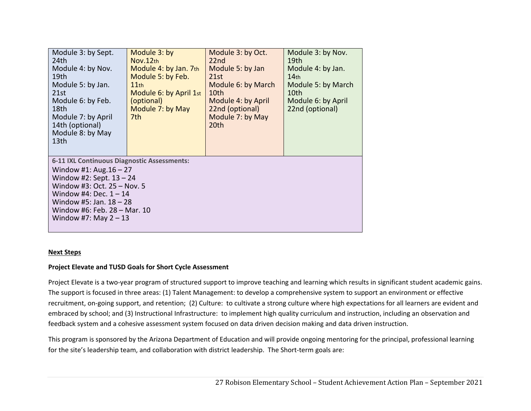| Module 3: by Sept.<br>24th<br>Module 4: by Nov.<br>19th<br>Module 5: by Jan.<br>21st<br>Module 6: by Feb.<br>18th<br>Module 7: by April<br>14th (optional)<br>Module 8: by May<br>13 <sub>th</sub>                                                        | Module 3: by<br>Nov.12th<br>Module 4: by Jan. 7th<br>Module 5: by Feb.<br>$11$ th<br>Module 6: by April 1st<br>(optional)<br>Module 7: by May<br>7th | Module 3: by Oct.<br>22nd<br>Module 5: by Jan<br>21st<br>Module 6: by March<br>10th<br>Module 4: by April<br>22nd (optional)<br>Module 7: by May<br>20th | Module 3: by Nov.<br>19th<br>Module 4: by Jan.<br>14 <sub>th</sub><br>Module 5: by March<br>10th<br>Module 6: by April<br>22nd (optional) |  |
|-----------------------------------------------------------------------------------------------------------------------------------------------------------------------------------------------------------------------------------------------------------|------------------------------------------------------------------------------------------------------------------------------------------------------|----------------------------------------------------------------------------------------------------------------------------------------------------------|-------------------------------------------------------------------------------------------------------------------------------------------|--|
| 6-11 IXL Continuous Diagnostic Assessments:<br>Window #1: Aug. $16 - 27$<br>Window #2: Sept. $13 - 24$<br>Window #3: Oct. 25 - Nov. 5<br>Window #4: Dec. $1 - 14$<br>Window #5: Jan. $18 - 28$<br>Window #6: Feb. 28 - Mar. 10<br>Window #7: May $2 - 13$ |                                                                                                                                                      |                                                                                                                                                          |                                                                                                                                           |  |

## **Next Steps**

## **Project Elevate and TUSD Goals for Short Cycle Assessment**

Project Elevate is a two-year program of structured support to improve teaching and learning which results in significant student academic gains. The support is focused in three areas: (1) Talent Management: to develop a comprehensive system to support an environment or effective recruitment, on‐going support, and retention; (2) Culture: to cultivate a strong culture where high expectations for all learners are evident and embraced by school; and (3) Instructional Infrastructure: to implement high quality curriculum and instruction, including an observation and feedback system and a cohesive assessment system focused on data driven decision making and data driven instruction.

This program is sponsored by the Arizona Department of Education and will provide ongoing mentoring for the principal, professional learning for the site's leadership team, and collaboration with district leadership. The Short-term goals are: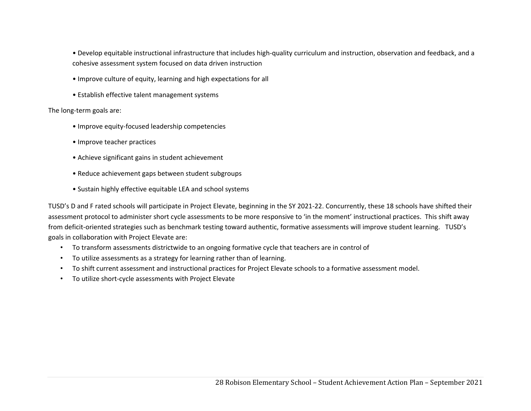• Develop equitable instructional infrastructure that includes high‐quality curriculum and instruction, observation and feedback, and a cohesive assessment system focused on data driven instruction

- Improve culture of equity, learning and high expectations for all
- Establish effective talent management systems

The long‐term goals are:

- Improve equity‐focused leadership competencies
- Improve teacher practices
- Achieve significant gains in student achievement
- Reduce achievement gaps between student subgroups
- Sustain highly effective equitable LEA and school systems

TUSD's D and F rated schools will participate in Project Elevate, beginning in the SY 2021-22. Concurrently, these 18 schools have shifted their assessment protocol to administer short cycle assessments to be more responsive to 'in the moment' instructional practices. This shift away from deficit-oriented strategies such as benchmark testing toward authentic, formative assessments will improve student learning. TUSD's goals in collaboration with Project Elevate are:

- To transform assessments districtwide to an ongoing formative cycle that teachers are in control of
- To utilize assessments as a strategy for learning rather than of learning.
- To shift current assessment and instructional practices for Project Elevate schools to a formative assessment model.
- To utilize short‐cycle assessments with Project Elevate